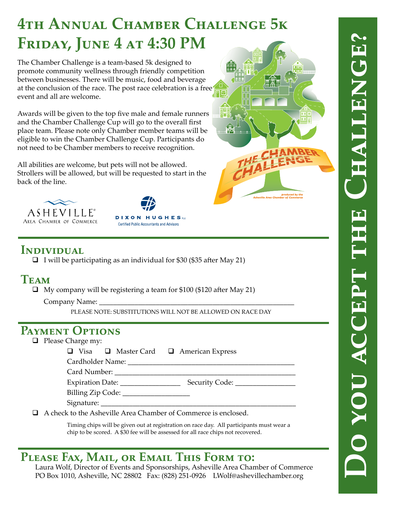# **4th Annual Chamber Challenge 5k FRIDAY, JUNE 4 AT 4:30 PM**

The Chamber Challenge is a team-based 5k designed to promote community wellness through friendly competition between businesses. There will be music, food and beverage at the conclusion of the race. The post race celebration is a free event and all are welcome.

Awards will be given to the top five male and female runners and the Chamber Challenge Cup will go to the overall first place team. Please note only Chamber member teams will be eligible to win the Chamber Challenge Cup. Participants do not need to be Chamber members to receive recognition.

All abilities are welcome, but pets will not be allowed. Strollers will be allowed, but will be requested to start in the back of the line.







## **Individual**

 $\Box$  I will be participating as an individual for \$30 (\$35 after May 21)

### **Team**

 $\Box$  My company will be registering a team for \$100 (\$120 after May 21)

Company Name: \_\_\_\_\_\_\_\_\_\_\_\_\_\_\_\_\_\_\_\_\_\_\_\_\_\_\_\_\_\_\_\_\_\_\_\_\_\_\_\_\_\_\_\_\_\_\_\_\_\_\_\_\_\_\_

Please note: substitutions will not be allowed on race day

### **Payment Options**

- $\Box$  Please Charge my:
	- $\Box$  Visa  $\Box$  Master Card  $\Box$  American Express

| Cardholder Name: |  |  |
|------------------|--|--|
|------------------|--|--|

| Card Number: |  |
|--------------|--|
|              |  |

Expiration Date: \_\_\_\_\_\_\_\_\_\_\_\_\_\_\_\_\_ Security Code: \_\_\_\_\_\_\_\_\_\_\_\_\_\_\_\_\_

Billing Zip Code:

Signature:

A check to the Asheville Area Chamber of Commerce is enclosed.

Timing chips will be given out at registration on race day. All participants must wear a chip to be scored. A \$30 fee will be assessed for all race chips not recovered.

# **Please Fax, Mail, or Email This Form to:**

Laura Wolf, Director of Events and Sponsorships, Asheville Area Chamber of Commerce PO Box 1010, Asheville, NC 28802 Fax: (828) 251-0926 LWolf@ashevillechamber.org